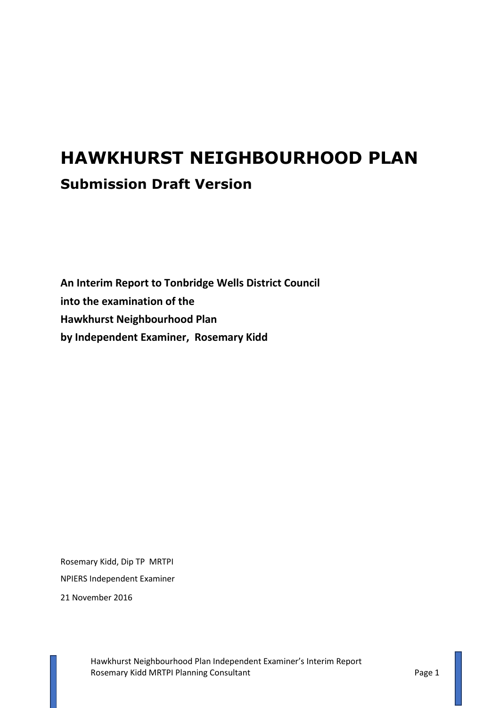## **HAWKHURST NEIGHBOURHOOD PLAN Submission Draft Version**

**An Interim Report to Tonbridge Wells District Council into the examination of the Hawkhurst Neighbourhood Plan by Independent Examiner, Rosemary Kidd**

Rosemary Kidd, Dip TP MRTPI NPIERS Independent Examiner

21 November 2016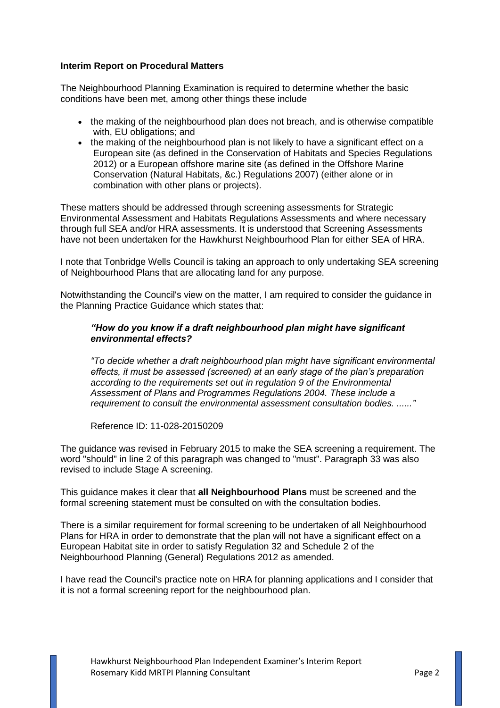## **Interim Report on Procedural Matters**

The Neighbourhood Planning Examination is required to determine whether the basic conditions have been met, among other things these include

- the making of the neighbourhood plan does not breach, and is otherwise compatible with, EU obligations; and
- the making of the neighbourhood plan is not likely to have a significant effect on a European site (as defined in the Conservation of Habitats and Species Regulations 2012) or a European offshore marine site (as defined in the Offshore Marine Conservation (Natural Habitats, &c.) Regulations 2007) (either alone or in combination with other plans or projects).

These matters should be addressed through screening assessments for Strategic Environmental Assessment and Habitats Regulations Assessments and where necessary through full SEA and/or HRA assessments. It is understood that Screening Assessments have not been undertaken for the Hawkhurst Neighbourhood Plan for either SEA of HRA.

I note that Tonbridge Wells Council is taking an approach to only undertaking SEA screening of Neighbourhood Plans that are allocating land for any purpose.

Notwithstanding the Council's view on the matter, I am required to consider the guidance in the Planning Practice Guidance which states that:

## *"How do you know if a draft neighbourhood plan might have significant environmental effects?*

*"To decide whether a draft [neighbourhood plan](http://planningguidance.communities.gov.uk/blog/guidance/neighbourhood-planning/what-is-neighbourhood-planning/) might have significant environmental effects, it must be assessed (screened) at an early stage of the plan's preparation according to the requirements set out in regulation 9 of the [Environmental](http://www.legislation.gov.uk/uksi/2004/1633/introduction/made)  [Assessment of Plans and Programmes Regulations 2004.](http://www.legislation.gov.uk/uksi/2004/1633/introduction/made) These include a requirement to consult the environmental assessment [consultation bodies.](http://planningguidance.communities.gov.uk/revisions/11/028/#paragraph_035) ......"*

Reference ID: 11-028-20150209

The guidance was revised in February 2015 to make the SEA screening a requirement. The word "should" in line 2 of this paragraph was changed to "must". Paragraph 33 was also revised to include Stage A screening.

This guidance makes it clear that **all Neighbourhood Plans** must be screened and the formal screening statement must be consulted on with the consultation bodies.

There is a similar requirement for formal screening to be undertaken of all Neighbourhood Plans for HRA in order to demonstrate that the plan will not have a significant effect on a European Habitat site in order to satisfy Regulation 32 and Schedule 2 of the Neighbourhood Planning (General) Regulations 2012 as amended.

I have read the Council's practice note on HRA for planning applications and I consider that it is not a formal screening report for the neighbourhood plan.